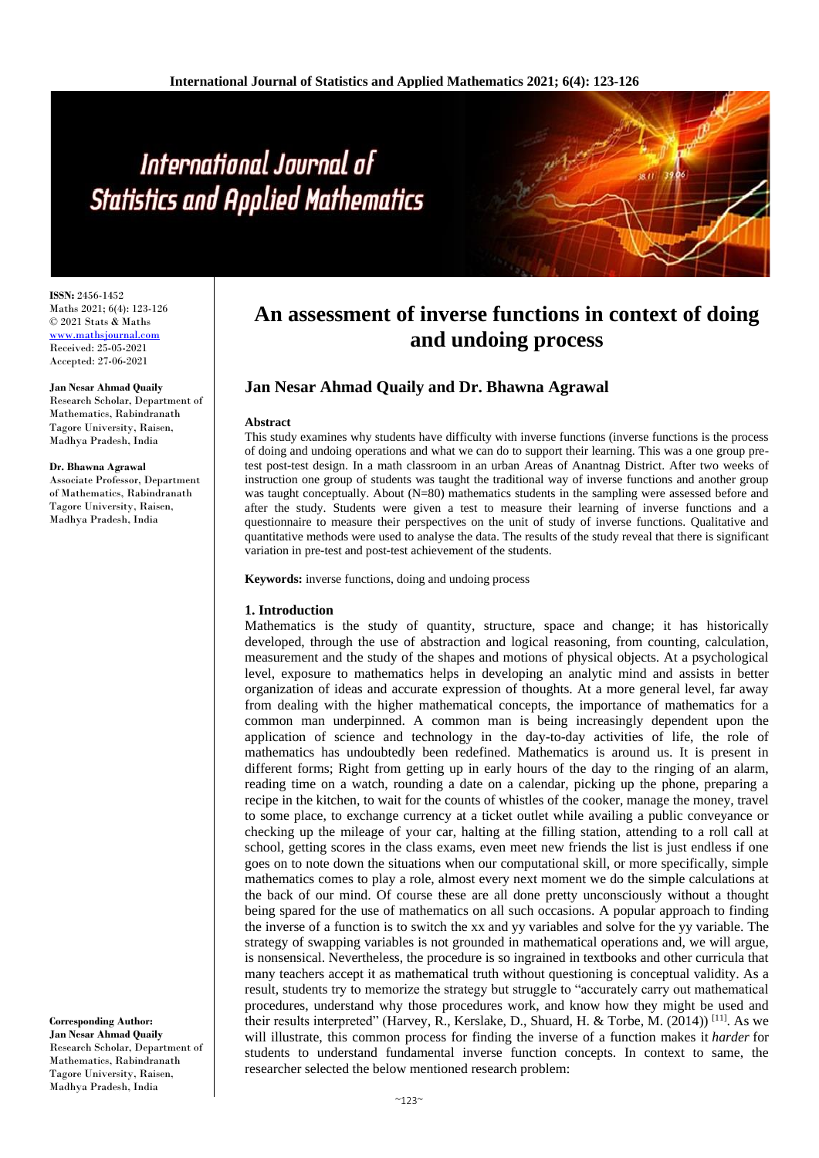# International Journal of **Statistics and Applied Mathematics**

**ISSN:** 2456-1452 Maths 2021; 6(4): 123-126 © 2021 Stats & Maths <www.mathsjournal.com> Received: 25-05-2021 Accepted: 27-06-2021

#### **Jan Nesar Ahmad Quaily**

Research Scholar, Department of Mathematics, Rabindranath Tagore University, Raisen, Madhya Pradesh, India

#### **Dr. Bhawna Agrawal**

Associate Professor, Department of Mathematics, Rabindranath Tagore University, Raisen, Madhya Pradesh, India

**Corresponding Author: Jan Nesar Ahmad Quaily** Research Scholar, Department of Mathematics, Rabindranath

Tagore University, Raisen, Madhya Pradesh, India

# **An assessment of inverse functions in context of doing and undoing process**

# **Jan Nesar Ahmad Quaily and Dr. Bhawna Agrawal**

### **Abstract**

This study examines why students have difficulty with inverse functions (inverse functions is the process of doing and undoing operations and what we can do to support their learning. This was a one group pretest post-test design. In a math classroom in an urban Areas of Anantnag District. After two weeks of instruction one group of students was taught the traditional way of inverse functions and another group was taught conceptually. About (N=80) mathematics students in the sampling were assessed before and after the study. Students were given a test to measure their learning of inverse functions and a questionnaire to measure their perspectives on the unit of study of inverse functions. Qualitative and quantitative methods were used to analyse the data. The results of the study reveal that there is significant variation in pre-test and post-test achievement of the students.

**Keywords:** inverse functions, doing and undoing process

# **1. Introduction**

Mathematics is the study of quantity, structure, space and change; it has historically developed, through the use of abstraction and logical reasoning, from counting, calculation, measurement and the study of the shapes and motions of physical objects. At a psychological level, exposure to mathematics helps in developing an analytic mind and assists in better organization of ideas and accurate expression of thoughts. At a more general level, far away from dealing with the higher mathematical concepts, the importance of mathematics for a common man underpinned. A common man is being increasingly dependent upon the application of science and technology in the day-to-day activities of life, the role of mathematics has undoubtedly been redefined. Mathematics is around us. It is present in different forms; Right from getting up in early hours of the day to the ringing of an alarm, reading time on a watch, rounding a date on a calendar, picking up the phone, preparing a recipe in the kitchen, to wait for the counts of whistles of the cooker, manage the money, travel to some place, to exchange currency at a ticket outlet while availing a public conveyance or checking up the mileage of your car, halting at the filling station, attending to a roll call at school, getting scores in the class exams, even meet new friends the list is just endless if one goes on to note down the situations when our computational skill, or more specifically, simple mathematics comes to play a role, almost every next moment we do the simple calculations at the back of our mind. Of course these are all done pretty unconsciously without a thought being spared for the use of mathematics on all such occasions. A popular approach to finding the inverse of a function is to switch the xx and yy variables and solve for the yy variable. The strategy of swapping variables is not grounded in mathematical operations and, we will argue, is nonsensical. Nevertheless, the procedure is so ingrained in textbooks and other curricula that many teachers accept it as mathematical truth without questioning is conceptual validity. As a result, students try to memorize the strategy but struggle to "accurately carry out mathematical procedures, understand why those procedures work, and know how they might be used and their results interpreted" (Harvey, R., Kerslake, D., Shuard, H. & Torbe, M. (2014))<sup>[11]</sup>. As we will illustrate, this common process for finding the inverse of a function makes it *harder* for students to understand fundamental inverse function concepts. In context to same, the researcher selected the below mentioned research problem: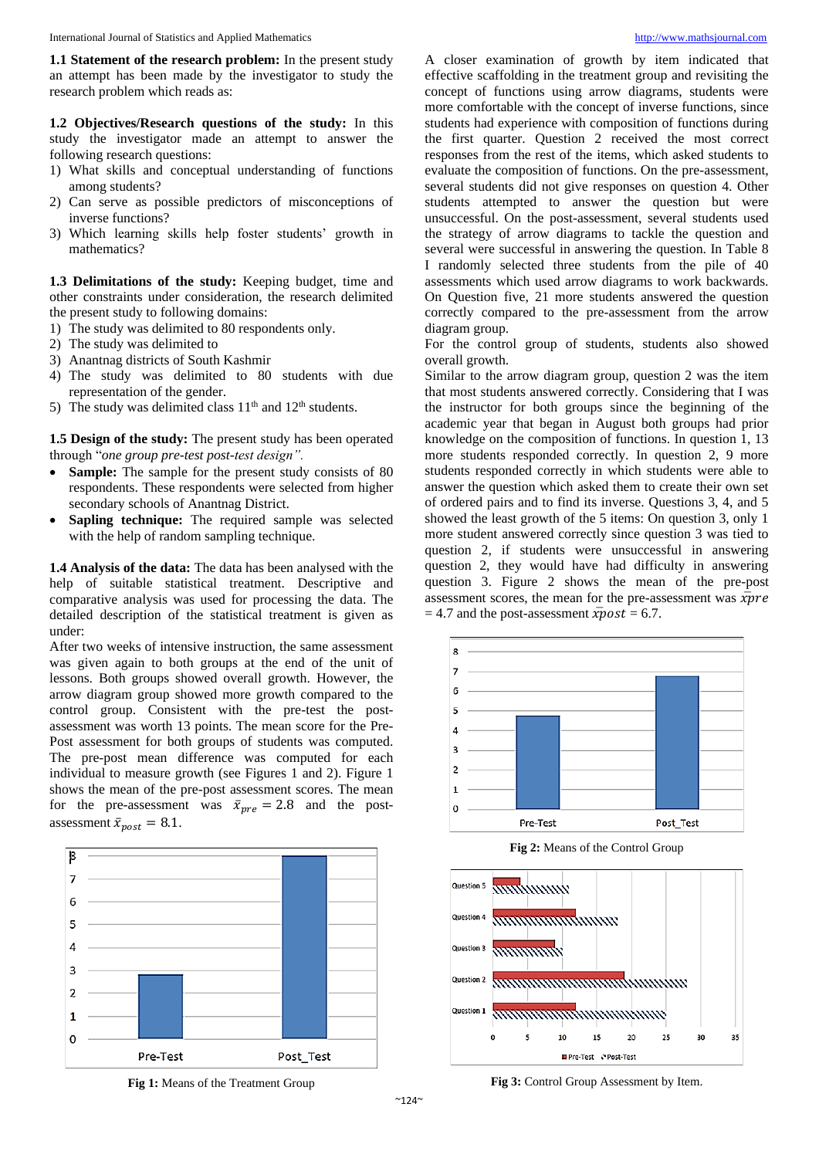**1.1 Statement of the research problem:** In the present study an attempt has been made by the investigator to study the research problem which reads as:

**1.2 Objectives/Research questions of the study:** In this study the investigator made an attempt to answer the following research questions:

- 1) What skills and conceptual understanding of functions among students?
- 2) Can serve as possible predictors of misconceptions of inverse functions?
- 3) Which learning skills help foster students' growth in mathematics?

**1.3 Delimitations of the study:** Keeping budget, time and other constraints under consideration, the research delimited the present study to following domains:

- 1) The study was delimited to 80 respondents only.
- 2) The study was delimited to
- 3) Anantnag districts of South Kashmir
- 4) The study was delimited to 80 students with due representation of the gender.
- 5) The study was delimited class  $11<sup>th</sup>$  and  $12<sup>th</sup>$  students.

**1.5 Design of the study:** The present study has been operated through "*one group pre-test post-test design".* 

- **Sample:** The sample for the present study consists of 80 respondents. These respondents were selected from higher secondary schools of Anantnag District.
- **Sapling technique:** The required sample was selected with the help of random sampling technique.

**1.4 Analysis of the data:** The data has been analysed with the help of suitable statistical treatment. Descriptive and comparative analysis was used for processing the data. The detailed description of the statistical treatment is given as under:

After two weeks of intensive instruction, the same assessment was given again to both groups at the end of the unit of lessons. Both groups showed overall growth. However, the arrow diagram group showed more growth compared to the control group. Consistent with the pre-test the postassessment was worth 13 points. The mean score for the Pre-Post assessment for both groups of students was computed. The pre-post mean difference was computed for each individual to measure growth (see Figures 1 and 2). Figure 1 shows the mean of the pre-post assessment scores. The mean for the pre-assessment was  $\bar{x}_{\text{mre}} = 2.8$  and the postassessment  $\bar{x}_{post} = 8.1$ .





A closer examination of growth by item indicated that effective scaffolding in the treatment group and revisiting the concept of functions using arrow diagrams, students were more comfortable with the concept of inverse functions, since students had experience with composition of functions during the first quarter. Question 2 received the most correct responses from the rest of the items, which asked students to evaluate the composition of functions. On the pre-assessment, several students did not give responses on question 4. Other students attempted to answer the question but were unsuccessful. On the post-assessment, several students used the strategy of arrow diagrams to tackle the question and several were successful in answering the question. In Table 8 I randomly selected three students from the pile of 40 assessments which used arrow diagrams to work backwards. On Question five, 21 more students answered the question correctly compared to the pre-assessment from the arrow diagram group.

For the control group of students, students also showed overall growth.

Similar to the arrow diagram group, question 2 was the item that most students answered correctly. Considering that I was the instructor for both groups since the beginning of the academic year that began in August both groups had prior knowledge on the composition of functions. In question 1, 13 more students responded correctly. In question 2, 9 more students responded correctly in which students were able to answer the question which asked them to create their own set of ordered pairs and to find its inverse. Questions 3, 4, and 5 showed the least growth of the 5 items: On question 3, only 1 more student answered correctly since question 3 was tied to question 2, if students were unsuccessful in answering question 2, they would have had difficulty in answering question 3. Figure 2 shows the mean of the pre-post assessment scores, the mean for the pre-assessment was  $\bar{x}$ *pre*  $= 4.7$  and the post-assessment  $\bar{x}$ *post* = 6.7.



**Fig 2:** Means of the Control Group



**Fig 3:** Control Group Assessment by Item.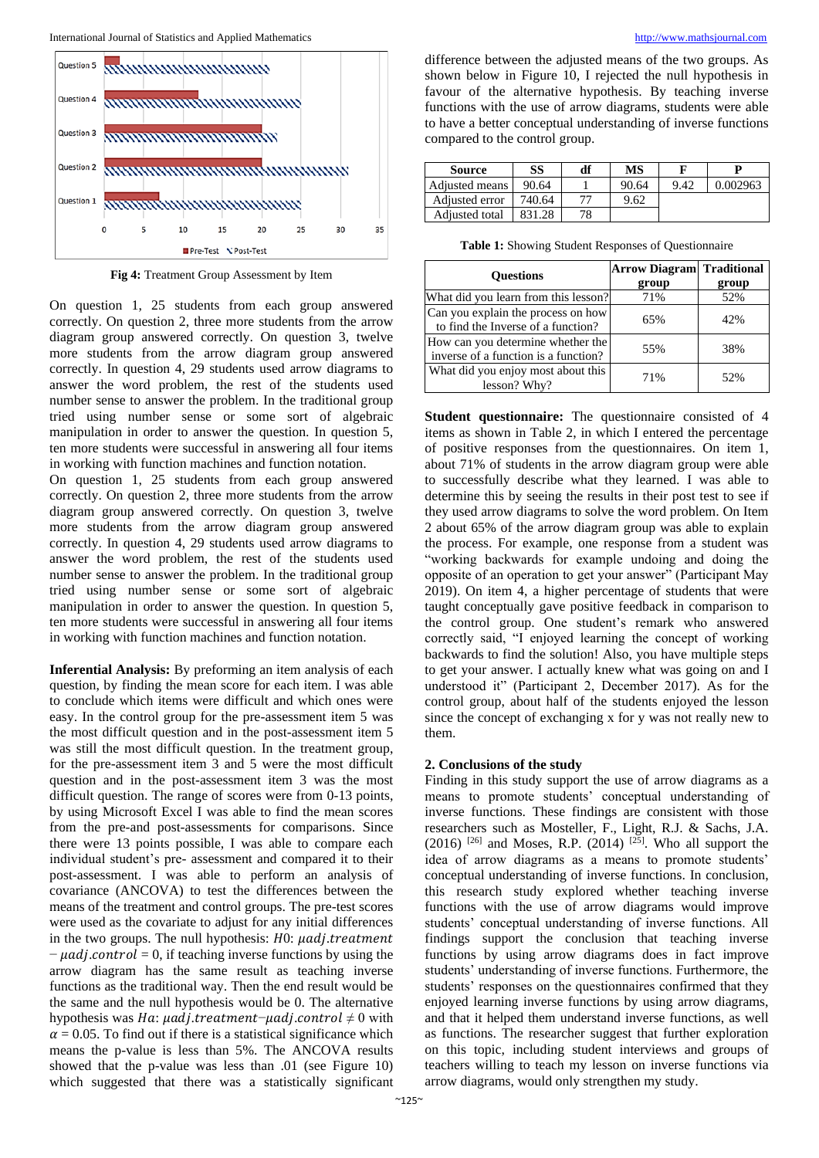

**Fig 4:** Treatment Group Assessment by Item

On question 1, 25 students from each group answered correctly. On question 2, three more students from the arrow diagram group answered correctly. On question 3, twelve more students from the arrow diagram group answered correctly. In question 4, 29 students used arrow diagrams to answer the word problem, the rest of the students used number sense to answer the problem. In the traditional group tried using number sense or some sort of algebraic manipulation in order to answer the question. In question 5, ten more students were successful in answering all four items in working with function machines and function notation.

On question 1, 25 students from each group answered correctly. On question 2, three more students from the arrow diagram group answered correctly. On question 3, twelve more students from the arrow diagram group answered correctly. In question 4, 29 students used arrow diagrams to answer the word problem, the rest of the students used number sense to answer the problem. In the traditional group tried using number sense or some sort of algebraic manipulation in order to answer the question. In question 5, ten more students were successful in answering all four items in working with function machines and function notation.

**Inferential Analysis:** By preforming an item analysis of each question, by finding the mean score for each item. I was able to conclude which items were difficult and which ones were easy. In the control group for the pre-assessment item 5 was the most difficult question and in the post-assessment item 5 was still the most difficult question. In the treatment group, for the pre-assessment item 3 and 5 were the most difficult question and in the post-assessment item 3 was the most difficult question. The range of scores were from 0-13 points, by using Microsoft Excel I was able to find the mean scores from the pre-and post-assessments for comparisons. Since there were 13 points possible, I was able to compare each individual student's pre- assessment and compared it to their post-assessment. I was able to perform an analysis of covariance (ANCOVA) to test the differences between the means of the treatment and control groups. The pre-test scores were used as the covariate to adjust for any initial differences in the two groups. The null hypothesis:  $H0$ :  $\mu adj. treatment$  $-\mu adj.contrib = 0$ , if teaching inverse functions by using the arrow diagram has the same result as teaching inverse functions as the traditional way. Then the end result would be the same and the null hypothesis would be 0. The alternative hypothesis was Ha:  $\mu$ adi.treatment- $\mu$ adi.control  $\neq 0$  with  $\alpha$  = 0.05. To find out if there is a statistical significance which means the p-value is less than 5%. The ANCOVA results showed that the p-value was less than .01 (see Figure 10) which suggested that there was a statistically significant

difference between the adjusted means of the two groups. As shown below in Figure 10, I rejected the null hypothesis in favour of the alternative hypothesis. By teaching inverse functions with the use of arrow diagrams, students were able to have a better conceptual understanding of inverse functions compared to the control group.

| Source         | SS     | df | MS    |      |          |
|----------------|--------|----|-------|------|----------|
| Adjusted means | 90.64  |    | 90.64 | 9.42 | 0.002963 |
| Adjusted error | 740.64 | רי | 9.62  |      |          |
| Adjusted total | 831.28 | 78 |       |      |          |

**Table 1:** Showing Student Responses of Questionnaire

| <b>Ouestions</b>                                                          | <b>Arrow Diagram Traditional</b><br>group | group |
|---------------------------------------------------------------------------|-------------------------------------------|-------|
| What did you learn from this lesson?                                      | 71%                                       | 52%   |
| Can you explain the process on how<br>to find the Inverse of a function?  | 65%                                       | 42%   |
| How can you determine whether the<br>inverse of a function is a function? | 55%                                       | 38%   |
| What did you enjoy most about this<br>lesson? Why?                        | 71%                                       | 52%   |

**Student questionnaire:** The questionnaire consisted of 4 items as shown in Table 2, in which I entered the percentage of positive responses from the questionnaires. On item 1, about 71% of students in the arrow diagram group were able to successfully describe what they learned. I was able to determine this by seeing the results in their post test to see if they used arrow diagrams to solve the word problem. On Item 2 about 65% of the arrow diagram group was able to explain the process. For example, one response from a student was "working backwards for example undoing and doing the opposite of an operation to get your answer" (Participant May 2019). On item 4, a higher percentage of students that were taught conceptually gave positive feedback in comparison to the control group. One student's remark who answered correctly said, "I enjoyed learning the concept of working backwards to find the solution! Also, you have multiple steps to get your answer. I actually knew what was going on and I understood it" (Participant 2, December 2017). As for the control group, about half of the students enjoyed the lesson since the concept of exchanging x for y was not really new to them.

# **2. Conclusions of the study**

Finding in this study support the use of arrow diagrams as a means to promote students' conceptual understanding of inverse functions. These findings are consistent with those researchers such as Mosteller, F., Light, R.J. & Sachs, J.A.  $(2016)$  <sup>[26]</sup> and Moses, R.P.  $(2014)$  <sup>[25]</sup>. Who all support the idea of arrow diagrams as a means to promote students' conceptual understanding of inverse functions. In conclusion, this research study explored whether teaching inverse functions with the use of arrow diagrams would improve students' conceptual understanding of inverse functions. All findings support the conclusion that teaching inverse functions by using arrow diagrams does in fact improve students' understanding of inverse functions. Furthermore, the students' responses on the questionnaires confirmed that they enjoyed learning inverse functions by using arrow diagrams, and that it helped them understand inverse functions, as well as functions. The researcher suggest that further exploration on this topic, including student interviews and groups of teachers willing to teach my lesson on inverse functions via arrow diagrams, would only strengthen my study.